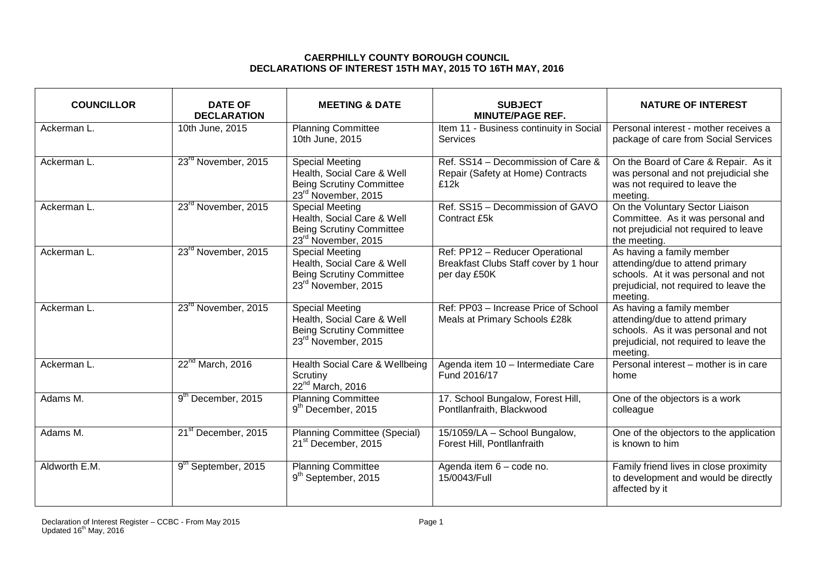## **CAERPHILLY COUNTY BOROUGH COUNCIL DECLARATIONS OF INTEREST 15TH MAY, 2015 TO 16TH MAY, 2016**

| <b>COUNCILLOR</b> | <b>DATE OF</b><br><b>DECLARATION</b> | <b>MEETING &amp; DATE</b>                                                                                                  | <b>SUBJECT</b><br><b>MINUTE/PAGE REF.</b>                                                | <b>NATURE OF INTEREST</b>                                                                                                                                 |
|-------------------|--------------------------------------|----------------------------------------------------------------------------------------------------------------------------|------------------------------------------------------------------------------------------|-----------------------------------------------------------------------------------------------------------------------------------------------------------|
| Ackerman L.       | 10th June, 2015                      | <b>Planning Committee</b><br>10th June, 2015                                                                               | Item 11 - Business continuity in Social<br>Services                                      | Personal interest - mother receives a<br>package of care from Social Services                                                                             |
| Ackerman L.       | 23 <sup>rd</sup> November, 2015      | <b>Special Meeting</b><br>Health, Social Care & Well<br><b>Being Scrutiny Committee</b><br>23 <sup>rd</sup> November, 2015 | Ref. $SS14 - Decommission of Care &$<br>Repair (Safety at Home) Contracts<br>£12k        | On the Board of Care & Repair. As it<br>was personal and not prejudicial she<br>was not required to leave the<br>meeting.                                 |
| Ackerman L.       | 23 <sup>rd</sup> November, 2015      | <b>Special Meeting</b><br>Health, Social Care & Well<br><b>Being Scrutiny Committee</b><br>23rd November, 2015             | Ref. SS15 - Decommission of GAVO<br>Contract £5k                                         | On the Voluntary Sector Liaison<br>Committee. As it was personal and<br>not prejudicial not required to leave<br>the meeting.                             |
| Ackerman L.       | 23 <sup>rd</sup> November, 2015      | Special Meeting<br>Health, Social Care & Well<br><b>Being Scrutiny Committee</b><br>23 <sup>rd</sup> November, 2015        | Ref: PP12 - Reducer Operational<br>Breakfast Clubs Staff cover by 1 hour<br>per day £50K | As having a family member<br>attending/due to attend primary<br>schools. At it was personal and not<br>prejudicial, not required to leave the<br>meeting. |
| Ackerman L.       | 23 <sup>rd</sup> November, 2015      | <b>Special Meeting</b><br>Health, Social Care & Well<br><b>Being Scrutiny Committee</b><br>23 <sup>rd</sup> November, 2015 | Ref: PP03 - Increase Price of School<br>Meals at Primary Schools £28k                    | As having a family member<br>attending/due to attend primary<br>schools. As it was personal and not<br>prejudicial, not required to leave the<br>meeting. |
| Ackerman L.       | 22 <sup>nd</sup> March, 2016         | Health Social Care & Wellbeing<br>Scrutiny<br>22 <sup>nd</sup> March, 2016                                                 | Agenda item 10 - Intermediate Care<br>Fund 2016/17                                       | Personal interest - mother is in care<br>home                                                                                                             |
| Adams M.          | 9 <sup>th</sup> December, 2015       | <b>Planning Committee</b><br>9 <sup>th</sup> December, 2015                                                                | 17. School Bungalow, Forest Hill,<br>Pontllanfraith, Blackwood                           | One of the objectors is a work<br>colleague                                                                                                               |
| Adams M.          | 21 <sup>st</sup> December, 2015      | <b>Planning Committee (Special)</b><br>21 <sup>st</sup> December, 2015                                                     | 15/1059/LA - School Bungalow,<br>Forest Hill, Pontllanfraith                             | One of the objectors to the application<br>is known to him                                                                                                |
| Aldworth E.M.     | 9 <sup>th</sup> September, 2015      | <b>Planning Committee</b><br>9 <sup>th</sup> September, 2015                                                               | Agenda item 6 - code no.<br>15/0043/Full                                                 | Family friend lives in close proximity<br>to development and would be directly<br>affected by it                                                          |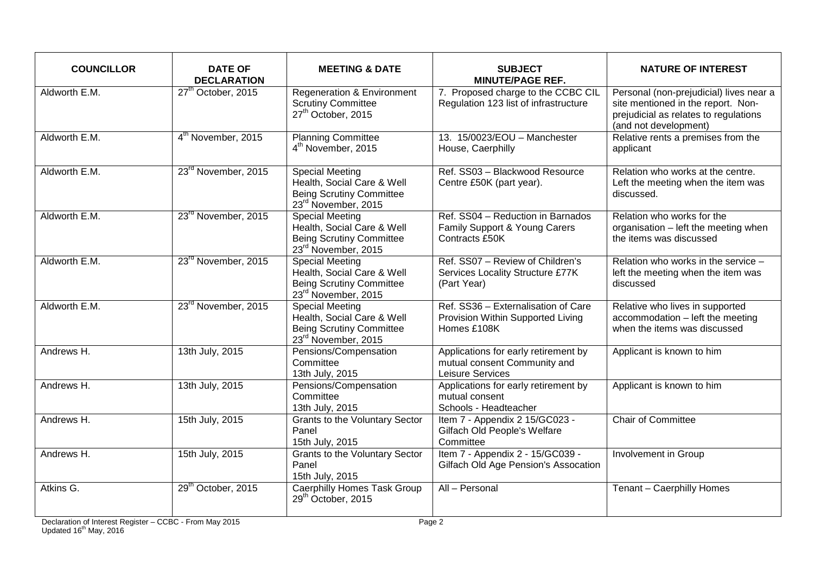| <b>COUNCILLOR</b> | <b>DATE OF</b><br><b>DECLARATION</b> | <b>MEETING &amp; DATE</b>                                                                                                  | <b>SUBJECT</b><br><b>MINUTE/PAGE REF.</b>                                                | <b>NATURE OF INTEREST</b>                                                                                                                       |
|-------------------|--------------------------------------|----------------------------------------------------------------------------------------------------------------------------|------------------------------------------------------------------------------------------|-------------------------------------------------------------------------------------------------------------------------------------------------|
| Aldworth E.M.     | 27 <sup>th</sup> October, 2015       | <b>Regeneration &amp; Environment</b><br><b>Scrutiny Committee</b><br>27 <sup>th</sup> October, 2015                       | 7. Proposed charge to the CCBC CIL<br>Regulation 123 list of infrastructure              | Personal (non-prejudicial) lives near a<br>site mentioned in the report. Non-<br>prejudicial as relates to regulations<br>(and not development) |
| Aldworth E.M.     | 4 <sup>th</sup> November, 2015       | <b>Planning Committee</b><br>4 <sup>th</sup> November, 2015                                                                | 13. 15/0023/EOU - Manchester<br>House, Caerphilly                                        | Relative rents a premises from the<br>applicant                                                                                                 |
| Aldworth E.M.     | 23 <sup>rd</sup> November, 2015      | <b>Special Meeting</b><br>Health, Social Care & Well<br><b>Being Scrutiny Committee</b><br>23 <sup>rd</sup> November, 2015 | Ref. SS03 - Blackwood Resource<br>Centre £50K (part year).                               | Relation who works at the centre.<br>Left the meeting when the item was<br>discussed.                                                           |
| Aldworth E.M.     | 23 <sup>rd</sup> November, 2015      | <b>Special Meeting</b><br>Health, Social Care & Well<br><b>Being Scrutiny Committee</b><br>23rd November, 2015             | Ref. SS04 - Reduction in Barnados<br>Family Support & Young Carers<br>Contracts £50K     | Relation who works for the<br>organisation - left the meeting when<br>the items was discussed                                                   |
| Aldworth E.M.     | 23 <sup>rd</sup> November, 2015      | <b>Special Meeting</b><br>Health, Social Care & Well<br><b>Being Scrutiny Committee</b><br>23rd November, 2015             | Ref. SS07 - Review of Children's<br>Services Locality Structure £77K<br>(Part Year)      | Relation who works in the service -<br>left the meeting when the item was<br>discussed                                                          |
| Aldworth E.M.     | 23 <sup>rd</sup> November, 2015      | <b>Special Meeting</b><br>Health, Social Care & Well<br><b>Being Scrutiny Committee</b><br>23rd November, 2015             | Ref. SS36 - Externalisation of Care<br>Provision Within Supported Living<br>Homes £108K  | Relative who lives in supported<br>accommodation - left the meeting<br>when the items was discussed                                             |
| Andrews H.        | 13th July, 2015                      | Pensions/Compensation<br>Committee<br>13th July, 2015                                                                      | Applications for early retirement by<br>mutual consent Community and<br>Leisure Services | Applicant is known to him                                                                                                                       |
| Andrews H.        | 13th July, 2015                      | Pensions/Compensation<br>Committee<br>13th July, 2015                                                                      | Applications for early retirement by<br>mutual consent<br>Schools - Headteacher          | Applicant is known to him                                                                                                                       |
| Andrews H.        | 15th July, 2015                      | <b>Grants to the Voluntary Sector</b><br>Panel<br>15th July, 2015                                                          | Item 7 - Appendix 2 15/GC023 -<br>Gilfach Old People's Welfare<br>Committee              | <b>Chair of Committee</b>                                                                                                                       |
| Andrews H.        | 15th July, 2015                      | <b>Grants to the Voluntary Sector</b><br>Panel<br>15th July, 2015                                                          | Item 7 - Appendix 2 - 15/GC039 -<br>Gilfach Old Age Pension's Assocation                 | Involvement in Group                                                                                                                            |
| Atkins G.         | 29 <sup>th</sup> October, 2015       | <b>Caerphilly Homes Task Group</b><br>29 <sup>th</sup> October, 2015                                                       | All - Personal                                                                           | Tenant - Caerphilly Homes                                                                                                                       |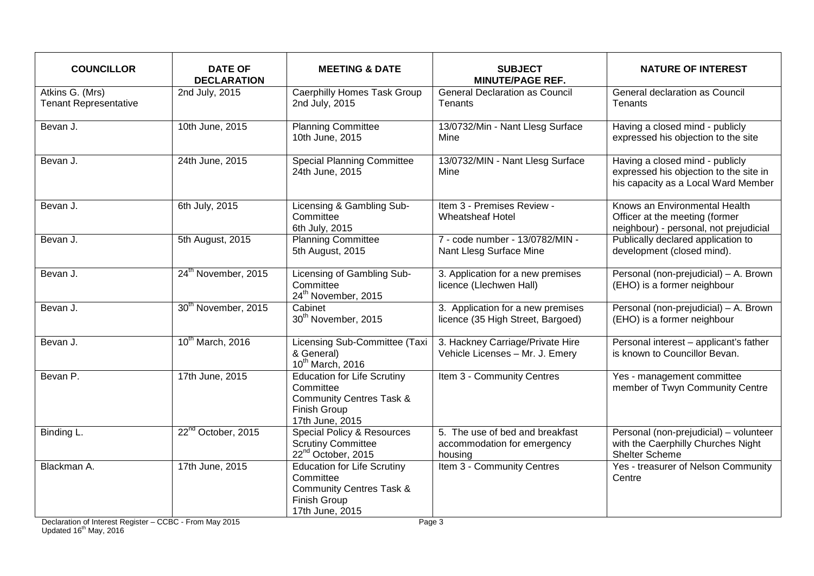| <b>COUNCILLOR</b>                               | <b>DATE OF</b><br><b>DECLARATION</b> | <b>MEETING &amp; DATE</b>                                                                                                        | <b>SUBJECT</b><br><b>MINUTE/PAGE REF.</b>                                 | <b>NATURE OF INTEREST</b>                                                                                        |
|-------------------------------------------------|--------------------------------------|----------------------------------------------------------------------------------------------------------------------------------|---------------------------------------------------------------------------|------------------------------------------------------------------------------------------------------------------|
| Atkins G. (Mrs)<br><b>Tenant Representative</b> | 2nd July, 2015                       | Caerphilly Homes Task Group<br>2nd July, 2015                                                                                    | <b>General Declaration as Council</b><br>Tenants                          | General declaration as Council<br>Tenants                                                                        |
| Bevan J.                                        | 10th June, 2015                      | <b>Planning Committee</b><br>10th June, 2015                                                                                     | 13/0732/Min - Nant Llesg Surface<br>Mine                                  | Having a closed mind - publicly<br>expressed his objection to the site                                           |
| Bevan J.                                        | 24th June, 2015                      | <b>Special Planning Committee</b><br>24th June, 2015                                                                             | 13/0732/MIN - Nant Llesg Surface<br>Mine                                  | Having a closed mind - publicly<br>expressed his objection to the site in<br>his capacity as a Local Ward Member |
| Bevan J.                                        | 6th July, 2015                       | Licensing & Gambling Sub-<br>Committee<br>6th July, 2015                                                                         | Item 3 - Premises Review -<br><b>Wheatsheaf Hotel</b>                     | Knows an Environmental Health<br>Officer at the meeting (former<br>neighbour) - personal, not prejudicial        |
| Bevan J.                                        | 5th August, 2015                     | <b>Planning Committee</b><br>5th August, 2015                                                                                    | 7 - code number - 13/0782/MIN -<br>Nant Llesg Surface Mine                | Publically declared application to<br>development (closed mind).                                                 |
| Bevan J.                                        | 24 <sup>th</sup> November, 2015      | Licensing of Gambling Sub-<br>Committee<br>24 <sup>th</sup> November, 2015                                                       | 3. Application for a new premises<br>licence (Llechwen Hall)              | Personal (non-prejudicial) - A. Brown<br>(EHO) is a former neighbour                                             |
| Bevan J.                                        | 30 <sup>th</sup> November, 2015      | Cabinet<br>30 <sup>th</sup> November, 2015                                                                                       | 3. Application for a new premises<br>licence (35 High Street, Bargoed)    | Personal (non-prejudicial) - A. Brown<br>(EHO) is a former neighbour                                             |
| Bevan J.                                        | 10th March, 2016                     | Licensing Sub-Committee (Taxi<br>& General)<br>10 <sup>th</sup> March, 2016                                                      | 3. Hackney Carriage/Private Hire<br>Vehicle Licenses - Mr. J. Emery       | Personal interest - applicant's father<br>is known to Councillor Bevan.                                          |
| Bevan P.                                        | 17th June, 2015                      | <b>Education for Life Scrutiny</b><br>Committee<br><b>Community Centres Task &amp;</b><br><b>Finish Group</b><br>17th June, 2015 | Item 3 - Community Centres                                                | Yes - management committee<br>member of Twyn Community Centre                                                    |
| Binding L.                                      | 22 <sup>nd</sup> October, 2015       | <b>Special Policy &amp; Resources</b><br><b>Scrutiny Committee</b><br>22 <sup>nd</sup> October, 2015                             | 5. The use of bed and breakfast<br>accommodation for emergency<br>housing | Personal (non-prejudicial) - volunteer<br>with the Caerphilly Churches Night<br><b>Shelter Scheme</b>            |
| Blackman A.                                     | 17th June, 2015                      | <b>Education for Life Scrutiny</b><br>Committee<br><b>Community Centres Task &amp;</b><br><b>Finish Group</b><br>17th June, 2015 | Item 3 - Community Centres                                                | Yes - treasurer of Nelson Community<br>Centre                                                                    |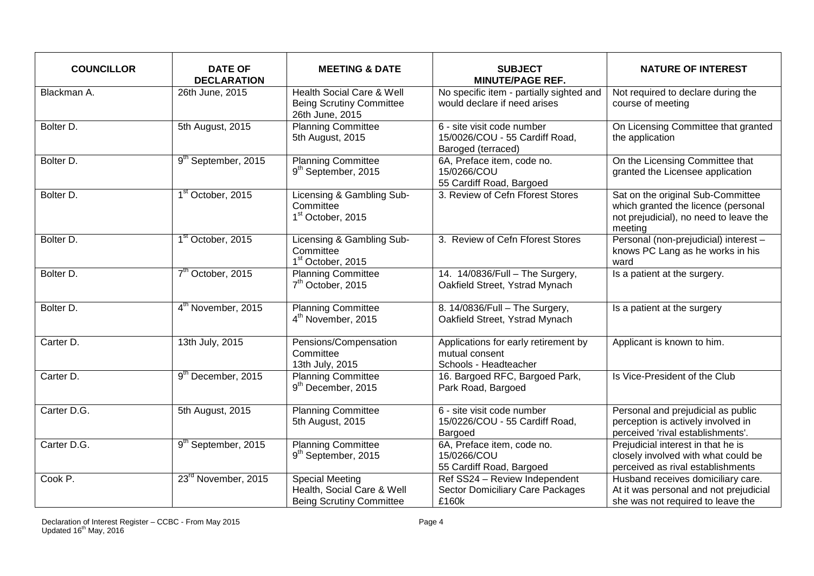| <b>COUNCILLOR</b> | <b>DATE OF</b><br><b>DECLARATION</b> | <b>MEETING &amp; DATE</b>                                                                  | <b>SUBJECT</b><br><b>MINUTE/PAGE REF.</b>                                          | <b>NATURE OF INTEREST</b>                                                                                                     |
|-------------------|--------------------------------------|--------------------------------------------------------------------------------------------|------------------------------------------------------------------------------------|-------------------------------------------------------------------------------------------------------------------------------|
| Blackman A.       | 26th June, 2015                      | <b>Health Social Care &amp; Well</b><br><b>Being Scrutiny Committee</b><br>26th June, 2015 | No specific item - partially sighted and<br>would declare if need arises           | Not required to declare during the<br>course of meeting                                                                       |
| Bolter D.         | 5th August, 2015                     | <b>Planning Committee</b><br>5th August, 2015                                              | 6 - site visit code number<br>15/0026/COU - 55 Cardiff Road,<br>Baroged (terraced) | On Licensing Committee that granted<br>the application                                                                        |
| Bolter D.         | 9 <sup>th</sup> September, 2015      | <b>Planning Committee</b><br>9 <sup>th</sup> September, 2015                               | 6A, Preface item, code no.<br>15/0266/COU<br>55 Cardiff Road, Bargoed              | On the Licensing Committee that<br>granted the Licensee application                                                           |
| Bolter D.         | 1 <sup>st</sup> October, 2015        | Licensing & Gambling Sub-<br>Committee<br>1 <sup>st</sup> October, 2015                    | 3. Review of Cefn Fforest Stores                                                   | Sat on the original Sub-Committee<br>which granted the licence (personal<br>not prejudicial), no need to leave the<br>meeting |
| Bolter D.         | 1 <sup>st</sup> October, 2015        | Licensing & Gambling Sub-<br>Committee<br>1 <sup>st</sup> October, 2015                    | 3. Review of Cefn Fforest Stores                                                   | Personal (non-prejudicial) interest -<br>knows PC Lang as he works in his<br>ward                                             |
| Bolter D.         | 7 <sup>th</sup> October, 2015        | <b>Planning Committee</b><br>7 <sup>th</sup> October, 2015                                 | 14. 14/0836/Full - The Surgery,<br>Oakfield Street, Ystrad Mynach                  | Is a patient at the surgery.                                                                                                  |
| Bolter D.         | 4 <sup>th</sup> November, 2015       | <b>Planning Committee</b><br>4 <sup>th</sup> November, 2015                                | 8. 14/0836/Full - The Surgery,<br>Oakfield Street, Ystrad Mynach                   | Is a patient at the surgery                                                                                                   |
| Carter D.         | 13th July, 2015                      | Pensions/Compensation<br>Committee<br>13th July, 2015                                      | Applications for early retirement by<br>mutual consent<br>Schools - Headteacher    | Applicant is known to him.                                                                                                    |
| Carter D.         | 9 <sup>th</sup> December, 2015       | <b>Planning Committee</b><br>9 <sup>th</sup> December, 2015                                | 16. Bargoed RFC, Bargoed Park,<br>Park Road, Bargoed                               | Is Vice-President of the Club                                                                                                 |
| Carter D.G.       | 5th August, 2015                     | <b>Planning Committee</b><br>5th August, 2015                                              | 6 - site visit code number<br>15/0226/COU - 55 Cardiff Road,<br>Bargoed            | Personal and prejudicial as public<br>perception is actively involved in<br>perceived 'rival establishments'.                 |
| Carter D.G.       | 9 <sup>th</sup> September, 2015      | <b>Planning Committee</b><br>9 <sup>th</sup> September, 2015                               | 6A, Preface item, code no.<br>15/0266/COU<br>55 Cardiff Road, Bargoed              | Prejudicial interest in that he is<br>closely involved with what could be<br>perceived as rival establishments                |
| Cook P.           | 23 <sup>rd</sup> November, 2015      | Special Meeting<br>Health, Social Care & Well<br><b>Being Scrutiny Committee</b>           | Ref SS24 - Review Independent<br><b>Sector Domiciliary Care Packages</b><br>£160k  | Husband receives domiciliary care.<br>At it was personal and not prejudicial<br>she was not required to leave the             |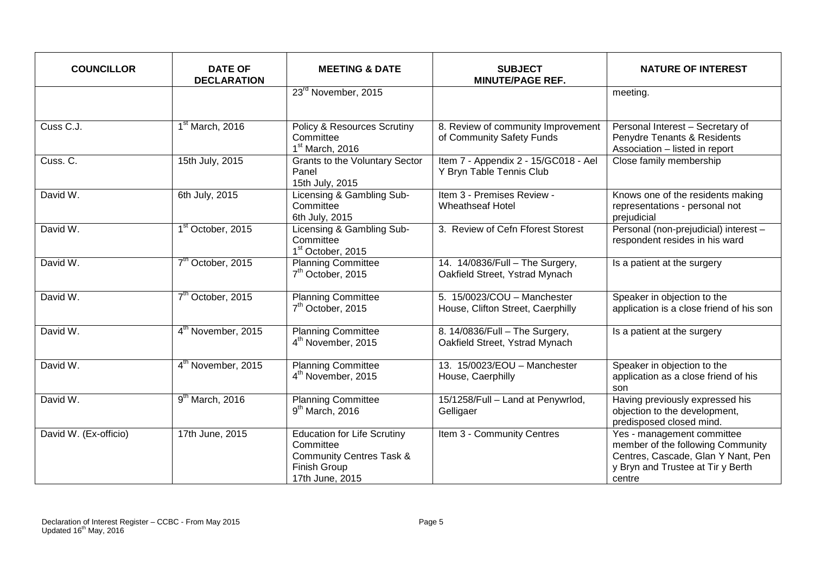| <b>COUNCILLOR</b>     | <b>DATE OF</b><br><b>DECLARATION</b> | <b>MEETING &amp; DATE</b>                                                                                                 | <b>SUBJECT</b><br><b>MINUTE/PAGE REF.</b>                         | <b>NATURE OF INTEREST</b>                                                                                                                            |
|-----------------------|--------------------------------------|---------------------------------------------------------------------------------------------------------------------------|-------------------------------------------------------------------|------------------------------------------------------------------------------------------------------------------------------------------------------|
|                       |                                      | 23 <sup>rd</sup> November, 2015                                                                                           |                                                                   | meeting.                                                                                                                                             |
| Cuss C.J.             | 1 <sup>st</sup> March, 2016          | <b>Policy &amp; Resources Scrutiny</b><br>Committee<br>1 <sup>st</sup> March, 2016                                        | 8. Review of community Improvement<br>of Community Safety Funds   | Personal Interest - Secretary of<br>Penydre Tenants & Residents<br>Association - listed in report                                                    |
| Cuss. C.              | 15th July, 2015                      | <b>Grants to the Voluntary Sector</b><br>Panel<br>15th July, 2015                                                         | Item 7 - Appendix 2 - 15/GC018 - Ael<br>Y Bryn Table Tennis Club  | Close family membership                                                                                                                              |
| David W.              | 6th July, 2015                       | Licensing & Gambling Sub-<br>Committee<br>6th July, 2015                                                                  | Item 3 - Premises Review -<br><b>Wheathseaf Hotel</b>             | Knows one of the residents making<br>representations - personal not<br>prejudicial                                                                   |
| David W.              | 1 <sup>st</sup> October, 2015        | Licensing & Gambling Sub-<br>Committee<br>1 <sup>st</sup> October, 2015                                                   | 3. Review of Cefn Fforest Storest                                 | Personal (non-prejudicial) interest -<br>respondent resides in his ward                                                                              |
| David W.              | 7 <sup>th</sup> October, 2015        | <b>Planning Committee</b><br>7 <sup>th</sup> October, 2015                                                                | 14. 14/0836/Full - The Surgery,<br>Oakfield Street, Ystrad Mynach | Is a patient at the surgery                                                                                                                          |
| David W.              | 7 <sup>th</sup> October, 2015        | <b>Planning Committee</b><br>7 <sup>th</sup> October, 2015                                                                | 5. 15/0023/COU - Manchester<br>House, Clifton Street, Caerphilly  | Speaker in objection to the<br>application is a close friend of his son                                                                              |
| David W.              | 4 <sup>th</sup> November, 2015       | <b>Planning Committee</b><br>4 <sup>th</sup> November, 2015                                                               | 8. 14/0836/Full - The Surgery,<br>Oakfield Street, Ystrad Mynach  | Is a patient at the surgery                                                                                                                          |
| David W.              | 4 <sup>th</sup> November, 2015       | <b>Planning Committee</b><br>4 <sup>th</sup> November, 2015                                                               | 13. 15/0023/EOU - Manchester<br>House, Caerphilly                 | Speaker in objection to the<br>application as a close friend of his<br>son                                                                           |
| David W.              | $9th$ March, 2016                    | <b>Planning Committee</b><br>$9th$ March, 2016                                                                            | 15/1258/Full - Land at Penywrlod,<br>Gelligaer                    | Having previously expressed his<br>objection to the development,<br>predisposed closed mind.                                                         |
| David W. (Ex-officio) | 17th June, 2015                      | <b>Education for Life Scrutiny</b><br>Committee<br><b>Community Centres Task &amp;</b><br>Finish Group<br>17th June, 2015 | Item 3 - Community Centres                                        | Yes - management committee<br>member of the following Community<br>Centres, Cascade, Glan Y Nant, Pen<br>y Bryn and Trustee at Tir y Berth<br>centre |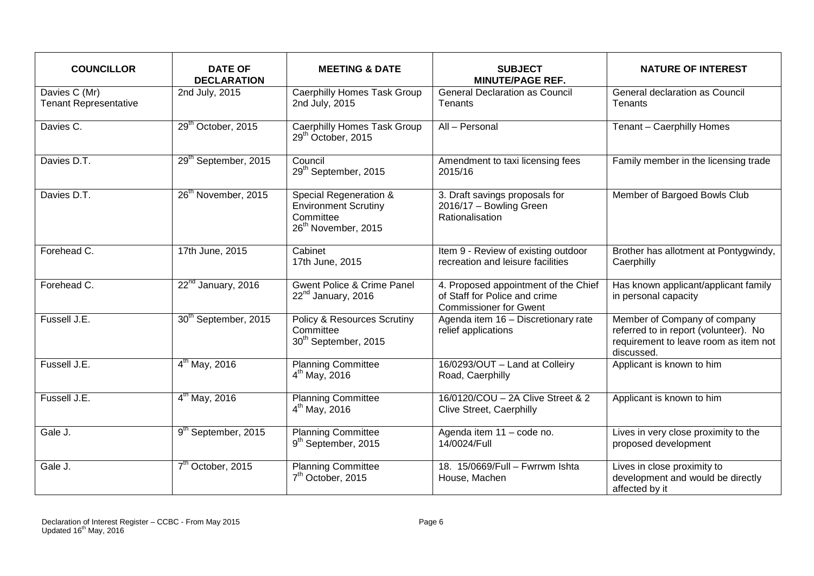| <b>COUNCILLOR</b>                             | <b>DATE OF</b><br><b>DECLARATION</b> | <b>MEETING &amp; DATE</b>                                                                             | <b>SUBJECT</b><br><b>MINUTE/PAGE REF.</b>                                                              | <b>NATURE OF INTEREST</b>                                                                                                    |
|-----------------------------------------------|--------------------------------------|-------------------------------------------------------------------------------------------------------|--------------------------------------------------------------------------------------------------------|------------------------------------------------------------------------------------------------------------------------------|
| Davies C (Mr)<br><b>Tenant Representative</b> | 2nd July, 2015                       | <b>Caerphilly Homes Task Group</b><br>2nd July, 2015                                                  | <b>General Declaration as Council</b><br>Tenants                                                       | General declaration as Council<br>Tenants                                                                                    |
| Davies $\overline{C}$ .                       | 29 <sup>th</sup> October, 2015       | <b>Caerphilly Homes Task Group</b><br>29 <sup>th</sup> October, 2015                                  | $\overline{All-Personal}$                                                                              | Tenant - Caerphilly Homes                                                                                                    |
| Davies D.T.                                   | 29 <sup>th</sup> September, 2015     | Council<br>29 <sup>th</sup> September, 2015                                                           | Amendment to taxi licensing fees<br>2015/16                                                            | Family member in the licensing trade                                                                                         |
| Davies D.T.                                   | 26 <sup>th</sup> November, 2015      | Special Regeneration &<br><b>Environment Scrutiny</b><br>Committee<br>26 <sup>th</sup> November, 2015 | 3. Draft savings proposals for<br>2016/17 - Bowling Green<br>Rationalisation                           | Member of Bargoed Bowls Club                                                                                                 |
| Forehead C.                                   | 17th June, 2015                      | Cabinet<br>17th June, 2015                                                                            | Item 9 - Review of existing outdoor<br>recreation and leisure facilities                               | Brother has allotment at Pontygwindy,<br>Caerphilly                                                                          |
| Forehead C.                                   | 22 <sup>nd</sup> January, 2016       | <b>Gwent Police &amp; Crime Panel</b><br>22 <sup>nd</sup> January, 2016                               | 4. Proposed appointment of the Chief<br>of Staff for Police and crime<br><b>Commissioner for Gwent</b> | Has known applicant/applicant family<br>in personal capacity                                                                 |
| Fussell J.E.                                  | 30 <sup>th</sup> September, 2015     | Policy & Resources Scrutiny<br>Committee<br>30 <sup>th</sup> September, 2015                          | Agenda item 16 - Discretionary rate<br>relief applications                                             | Member of Company of company<br>referred to in report (volunteer). No<br>requirement to leave room as item not<br>discussed. |
| Fussell J.E.                                  | $4^{th}$ May, 2016                   | <b>Planning Committee</b><br>$4^{th}$ May, 2016                                                       | 16/0293/OUT - Land at Colleiry<br>Road, Caerphilly                                                     | Applicant is known to him                                                                                                    |
| Fussell J.E.                                  | $4^{th}$ May, 2016                   | <b>Planning Committee</b><br>$4^{th}$ May, 2016                                                       | 16/0120/COU - 2A Clive Street & 2<br>Clive Street, Caerphilly                                          | Applicant is known to him                                                                                                    |
| Gale J.                                       | 9 <sup>th</sup> September, 2015      | <b>Planning Committee</b><br>9 <sup>th</sup> September, 2015                                          | Agenda item 11 - code no.<br>14/0024/Full                                                              | Lives in very close proximity to the<br>proposed development                                                                 |
| Gale J.                                       | 7 <sup>th</sup> October, 2015        | <b>Planning Committee</b><br>7 <sup>th</sup> October, 2015                                            | 18. 15/0669/Full - Fwrrwm Ishta<br>House, Machen                                                       | Lives in close proximity to<br>development and would be directly<br>affected by it                                           |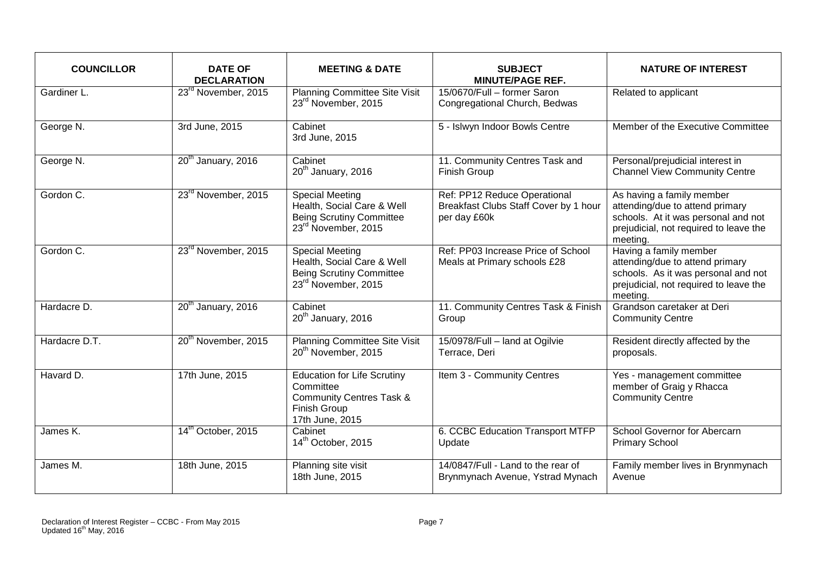| <b>COUNCILLOR</b> | <b>DATE OF</b><br><b>DECLARATION</b> | <b>MEETING &amp; DATE</b>                                                                                                  | <b>SUBJECT</b><br><b>MINUTE/PAGE REF.</b>                                             | <b>NATURE OF INTEREST</b>                                                                                                                                 |
|-------------------|--------------------------------------|----------------------------------------------------------------------------------------------------------------------------|---------------------------------------------------------------------------------------|-----------------------------------------------------------------------------------------------------------------------------------------------------------|
| Gardiner L.       | 23 <sup>rd</sup> November, 2015      | Planning Committee Site Visit<br>23rd November, 2015                                                                       | 15/0670/Full - former Saron<br>Congregational Church, Bedwas                          | Related to applicant                                                                                                                                      |
| George N.         | 3rd June, 2015                       | Cabinet<br>3rd June, 2015                                                                                                  | 5 - Islwyn Indoor Bowls Centre                                                        | Member of the Executive Committee                                                                                                                         |
| George N.         | 20 <sup>th</sup> January, 2016       | Cabinet<br>20 <sup>th</sup> January, 2016                                                                                  | 11. Community Centres Task and<br>Finish Group                                        | Personal/prejudicial interest in<br><b>Channel View Community Centre</b>                                                                                  |
| Gordon C.         | 23 <sup>rd</sup> November, 2015      | <b>Special Meeting</b><br>Health, Social Care & Well<br><b>Being Scrutiny Committee</b><br>23rd November, 2015             | Ref: PP12 Reduce Operational<br>Breakfast Clubs Staff Cover by 1 hour<br>per day £60k | As having a family member<br>attending/due to attend primary<br>schools. At it was personal and not<br>prejudicial, not required to leave the<br>meeting. |
| Gordon C.         | 23 <sup>rd</sup> November, 2015      | <b>Special Meeting</b><br>Health, Social Care & Well<br><b>Being Scrutiny Committee</b><br>23 <sup>rd</sup> November, 2015 | Ref: PP03 Increase Price of School<br>Meals at Primary schools £28                    | Having a family member<br>attending/due to attend primary<br>schools. As it was personal and not<br>prejudicial, not required to leave the<br>meeting.    |
| Hardacre D.       | 20 <sup>th</sup> January, 2016       | Cabinet<br>20 <sup>th</sup> January, 2016                                                                                  | 11. Community Centres Task & Finish<br>Group                                          | Grandson caretaker at Deri<br><b>Community Centre</b>                                                                                                     |
| Hardacre D.T.     | 20 <sup>th</sup> November, 2015      | <b>Planning Committee Site Visit</b><br>20 <sup>th</sup> November, 2015                                                    | 15/0978/Full - land at Ogilvie<br>Terrace, Deri                                       | Resident directly affected by the<br>proposals.                                                                                                           |
| Havard D.         | 17th June, 2015                      | <b>Education for Life Scrutiny</b><br>Committee<br><b>Community Centres Task &amp;</b><br>Finish Group<br>17th June, 2015  | Item 3 - Community Centres                                                            | Yes - management committee<br>member of Graig y Rhacca<br><b>Community Centre</b>                                                                         |
| James K.          | 14 <sup>th</sup> October, 2015       | Cabinet<br>14 <sup>th</sup> October, 2015                                                                                  | 6. CCBC Education Transport MTFP<br>Update                                            | School Governor for Abercarn<br><b>Primary School</b>                                                                                                     |
| James M.          | 18th June, 2015                      | Planning site visit<br>18th June, 2015                                                                                     | 14/0847/Full - Land to the rear of<br>Brynmynach Avenue, Ystrad Mynach                | Family member lives in Brynmynach<br>Avenue                                                                                                               |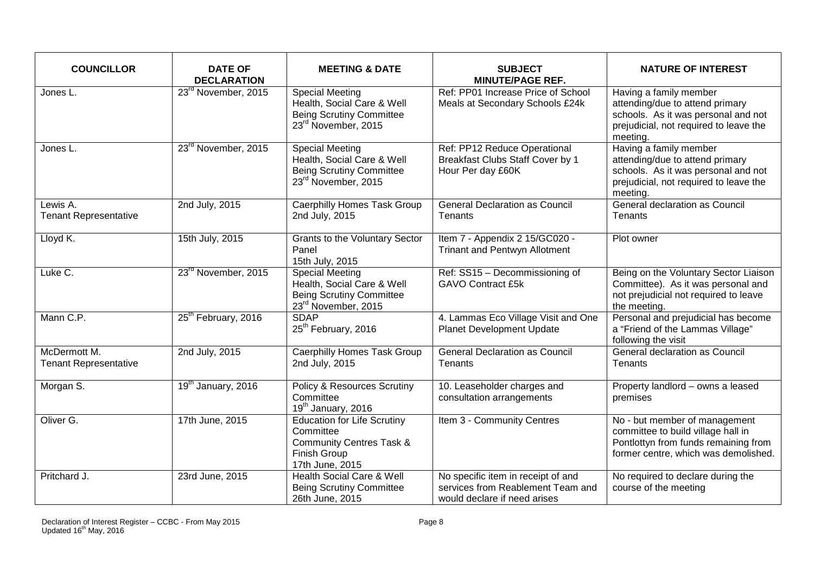| <b>COUNCILLOR</b>                            | <b>DATE OF</b><br><b>DECLARATION</b> | <b>MEETING &amp; DATE</b>                                                                                                  | <b>SUBJECT</b><br><b>MINUTE/PAGE REF.</b>                                                               | <b>NATURE OF INTEREST</b>                                                                                                                              |
|----------------------------------------------|--------------------------------------|----------------------------------------------------------------------------------------------------------------------------|---------------------------------------------------------------------------------------------------------|--------------------------------------------------------------------------------------------------------------------------------------------------------|
| Jones L.                                     | 23 <sup>rd</sup> November, 2015      | <b>Special Meeting</b><br>Health, Social Care & Well<br><b>Being Scrutiny Committee</b><br>23 <sup>rd</sup> November, 2015 | Ref: PP01 Increase Price of School<br>Meals at Secondary Schools £24k                                   | Having a family member<br>attending/due to attend primary<br>schools. As it was personal and not<br>prejudicial, not required to leave the<br>meeting. |
| Jones L.                                     | 23 <sup>rd</sup> November, 2015      | <b>Special Meeting</b><br>Health, Social Care & Well<br><b>Being Scrutiny Committee</b><br>23rd November, 2015             | Ref: PP12 Reduce Operational<br>Breakfast Clubs Staff Cover by 1<br>Hour Per day £60K                   | Having a family member<br>attending/due to attend primary<br>schools. As it was personal and not<br>prejudicial, not required to leave the<br>meeting. |
| Lewis A.<br><b>Tenant Representative</b>     | 2nd July, 2015                       | Caerphilly Homes Task Group<br>2nd July, 2015                                                                              | <b>General Declaration as Council</b><br>Tenants                                                        | General declaration as Council<br>Tenants                                                                                                              |
| Lloyd K.                                     | 15th July, 2015                      | <b>Grants to the Voluntary Sector</b><br>Panel<br>15th July, 2015                                                          | Item 7 - Appendix 2 15/GC020 -<br>Trinant and Pentwyn Allotment                                         | Plot owner                                                                                                                                             |
| Luke C.                                      | 23 <sup>rd</sup> November, 2015      | <b>Special Meeting</b><br>Health, Social Care & Well<br><b>Being Scrutiny Committee</b><br>23 <sup>rd</sup> November, 2015 | Ref: SS15 - Decommissioning of<br><b>GAVO Contract £5k</b>                                              | Being on the Voluntary Sector Liaison<br>Committee). As it was personal and<br>not prejudicial not required to leave<br>the meeting.                   |
| Mann C.P.                                    | 25 <sup>th</sup> February, 2016      | <b>SDAP</b><br>25 <sup>th</sup> February, 2016                                                                             | 4. Lammas Eco Village Visit and One<br>Planet Development Update                                        | Personal and prejudicial has become<br>a "Friend of the Lammas Village"<br>following the visit                                                         |
| McDermott M.<br><b>Tenant Representative</b> | 2nd July, 2015                       | <b>Caerphilly Homes Task Group</b><br>2nd July, 2015                                                                       | <b>General Declaration as Council</b><br>Tenants                                                        | General declaration as Council<br><b>Tenants</b>                                                                                                       |
| Morgan S.                                    | 19 <sup>th</sup> January, 2016       | Policy & Resources Scrutiny<br>Committee<br>19 <sup>th</sup> January, 2016                                                 | 10. Leaseholder charges and<br>consultation arrangements                                                | Property landlord - owns a leased<br>premises                                                                                                          |
| Oliver G.                                    | 17th June, 2015                      | <b>Education for Life Scrutiny</b><br>Committee<br><b>Community Centres Task &amp;</b><br>Finish Group<br>17th June, 2015  | Item 3 - Community Centres                                                                              | No - but member of management<br>committee to build village hall in<br>Pontlottyn from funds remaining from<br>former centre, which was demolished.    |
| Pritchard J.                                 | 23rd June, 2015                      | <b>Health Social Care &amp; Well</b><br><b>Being Scrutiny Committee</b><br>26th June, 2015                                 | No specific item in receipt of and<br>services from Reablement Team and<br>would declare if need arises | No required to declare during the<br>course of the meeting                                                                                             |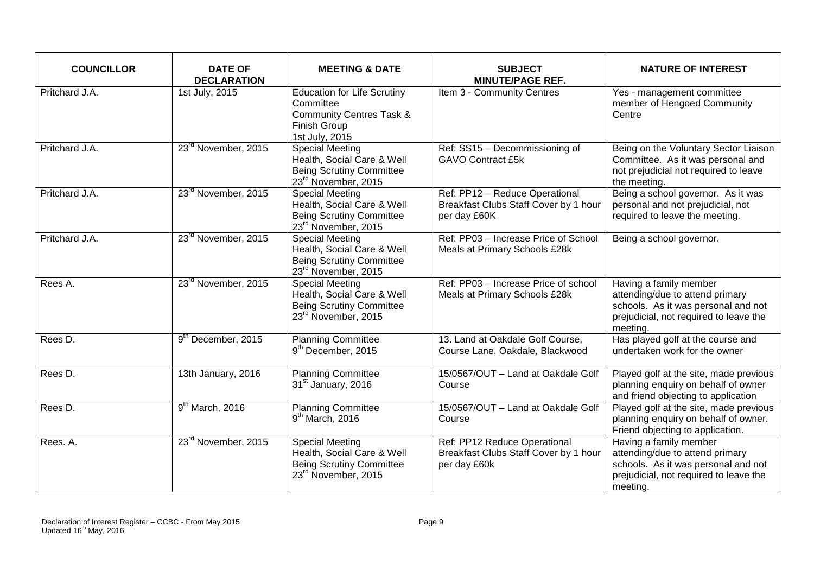| <b>COUNCILLOR</b> | <b>DATE OF</b><br><b>DECLARATION</b> | <b>MEETING &amp; DATE</b>                                                                                                       | <b>SUBJECT</b><br><b>MINUTE/PAGE REF.</b>                                               | <b>NATURE OF INTEREST</b>                                                                                                                              |
|-------------------|--------------------------------------|---------------------------------------------------------------------------------------------------------------------------------|-----------------------------------------------------------------------------------------|--------------------------------------------------------------------------------------------------------------------------------------------------------|
| Pritchard J.A.    | 1st July, 2015                       | <b>Education for Life Scrutiny</b><br>Committee<br><b>Community Centres Task &amp;</b><br><b>Finish Group</b><br>1st July, 2015 | Item 3 - Community Centres                                                              | Yes - management committee<br>member of Hengoed Community<br>Centre                                                                                    |
| Pritchard J.A.    | 23 <sup>rd</sup> November, 2015      | <b>Special Meeting</b><br>Health, Social Care & Well<br><b>Being Scrutiny Committee</b><br>23 <sup>rd</sup> November, 2015      | Ref: SS15 - Decommissioning of<br><b>GAVO Contract £5k</b>                              | Being on the Voluntary Sector Liaison<br>Committee. As it was personal and<br>not prejudicial not required to leave<br>the meeting.                    |
| Pritchard J.A.    | 23 <sup>rd</sup> November, 2015      | <b>Special Meeting</b><br>Health, Social Care & Well<br><b>Being Scrutiny Committee</b><br>23 <sup>rd</sup> November, 2015      | Ref: PP12 - Reduce Operational<br>Breakfast Clubs Staff Cover by 1 hour<br>per day £60K | Being a school governor. As it was<br>personal and not prejudicial, not<br>required to leave the meeting.                                              |
| Pritchard J.A.    | 23 <sup>rd</sup> November, 2015      | <b>Special Meeting</b><br>Health, Social Care & Well<br><b>Being Scrutiny Committee</b><br>23rd November, 2015                  | Ref: PP03 - Increase Price of School<br>Meals at Primary Schools £28k                   | Being a school governor.                                                                                                                               |
| Rees A.           | 23 <sup>rd</sup> November, 2015      | <b>Special Meeting</b><br>Health, Social Care & Well<br><b>Being Scrutiny Committee</b><br>23rd November, 2015                  | Ref: PP03 - Increase Price of school<br>Meals at Primary Schools £28k                   | Having a family member<br>attending/due to attend primary<br>schools. As it was personal and not<br>prejudicial, not required to leave the<br>meeting. |
| Rees D.           | 9 <sup>th</sup> December, 2015       | <b>Planning Committee</b><br>9 <sup>th</sup> December, 2015                                                                     | 13. Land at Oakdale Golf Course,<br>Course Lane, Oakdale, Blackwood                     | Has played golf at the course and<br>undertaken work for the owner                                                                                     |
| Rees D.           | 13th January, 2016                   | <b>Planning Committee</b><br>31 <sup>st</sup> January, 2016                                                                     | 15/0567/OUT - Land at Oakdale Golf<br>Course                                            | Played golf at the site, made previous<br>planning enquiry on behalf of owner<br>and friend objecting to application                                   |
| Rees D.           | $9th$ March, 2016                    | <b>Planning Committee</b><br>$9th$ March, 2016                                                                                  | 15/0567/OUT - Land at Oakdale Golf<br>Course                                            | Played golf at the site, made previous<br>planning enquiry on behalf of owner.<br>Friend objecting to application.                                     |
| Rees. A.          | 23 <sup>rd</sup> November, 2015      | <b>Special Meeting</b><br>Health, Social Care & Well<br><b>Being Scrutiny Committee</b><br>23rd November, 2015                  | Ref: PP12 Reduce Operational<br>Breakfast Clubs Staff Cover by 1 hour<br>per day £60k   | Having a family member<br>attending/due to attend primary<br>schools. As it was personal and not<br>prejudicial, not required to leave the<br>meeting. |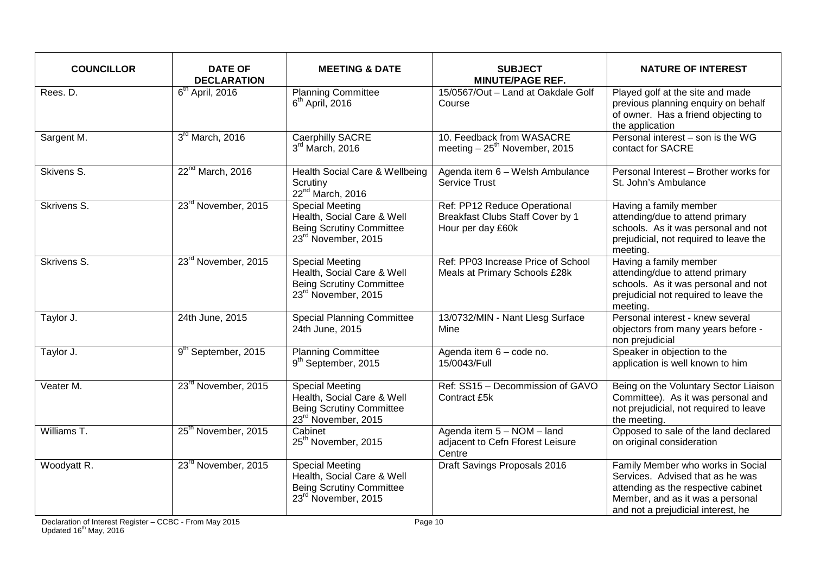| <b>COUNCILLOR</b> | <b>DATE OF</b><br><b>DECLARATION</b> | <b>MEETING &amp; DATE</b>                                                                                                  | <b>SUBJECT</b><br><b>MINUTE/PAGE REF.</b>                                             | <b>NATURE OF INTEREST</b>                                                                                                                                                              |
|-------------------|--------------------------------------|----------------------------------------------------------------------------------------------------------------------------|---------------------------------------------------------------------------------------|----------------------------------------------------------------------------------------------------------------------------------------------------------------------------------------|
| Rees. D.          | $6th$ April, 2016                    | <b>Planning Committee</b><br>$6th$ April, 2016                                                                             | 15/0567/Out - Land at Oakdale Golf<br>Course                                          | Played golf at the site and made<br>previous planning enquiry on behalf<br>of owner. Has a friend objecting to<br>the application                                                      |
| Sargent M.        | 3rd March, 2016                      | <b>Caerphilly SACRE</b><br>$3rd$ March, 2016                                                                               | 10. Feedback from WASACRE<br>meeting $-25^{th}$ November, 2015                        | Personal interest - son is the WG<br>contact for SACRE                                                                                                                                 |
| Skivens S.        | 22 <sup>nd</sup> March, 2016         | Health Social Care & Wellbeing<br>Scrutiny<br>22 <sup>nd</sup> March, 2016                                                 | Agenda item 6 - Welsh Ambulance<br><b>Service Trust</b>                               | Personal Interest - Brother works for<br>St. John's Ambulance                                                                                                                          |
| Skrivens S.       | 23 <sup>rd</sup> November, 2015      | <b>Special Meeting</b><br>Health, Social Care & Well<br><b>Being Scrutiny Committee</b><br>23 <sup>rd</sup> November, 2015 | Ref: PP12 Reduce Operational<br>Breakfast Clubs Staff Cover by 1<br>Hour per day £60k | Having a family member<br>attending/due to attend primary<br>schools. As it was personal and not<br>prejudicial, not required to leave the<br>meeting.                                 |
| Skrivens S.       | 23 <sup>rd</sup> November, 2015      | <b>Special Meeting</b><br>Health, Social Care & Well<br><b>Being Scrutiny Committee</b><br>23 <sup>rd</sup> November, 2015 | Ref: PP03 Increase Price of School<br>Meals at Primary Schools £28k                   | Having a family member<br>attending/due to attend primary<br>schools. As it was personal and not<br>prejudicial not required to leave the<br>meeting.                                  |
| Taylor J.         | 24th June, 2015                      | <b>Special Planning Committee</b><br>24th June, 2015                                                                       | 13/0732/MIN - Nant Llesg Surface<br>Mine                                              | Personal interest - knew several<br>objectors from many years before -<br>non prejudicial                                                                                              |
| Taylor J.         | 9 <sup>th</sup> September, 2015      | <b>Planning Committee</b><br>9 <sup>th</sup> September, 2015                                                               | Agenda item 6 - code no.<br>15/0043/Full                                              | Speaker in objection to the<br>application is well known to him                                                                                                                        |
| Veater M.         | 23 <sup>rd</sup> November, 2015      | <b>Special Meeting</b><br>Health, Social Care & Well<br><b>Being Scrutiny Committee</b><br>23rd November, 2015             | Ref: SS15 - Decommission of GAVO<br>Contract £5k                                      | Being on the Voluntary Sector Liaison<br>Committee). As it was personal and<br>not prejudicial, not required to leave<br>the meeting.                                                  |
| Williams T.       | 25 <sup>th</sup> November, 2015      | Cabinet<br>25 <sup>th</sup> November, 2015                                                                                 | Agenda item 5 - NOM - land<br>adjacent to Cefn Fforest Leisure<br>Centre              | Opposed to sale of the land declared<br>on original consideration                                                                                                                      |
| Woodyatt R.       | 23 <sup>rd</sup> November, 2015      | <b>Special Meeting</b><br>Health, Social Care & Well<br><b>Being Scrutiny Committee</b><br>23 <sup>rd</sup> November, 2015 | Draft Savings Proposals 2016                                                          | Family Member who works in Social<br>Services. Advised that as he was<br>attending as the respective cabinet<br>Member, and as it was a personal<br>and not a prejudicial interest, he |